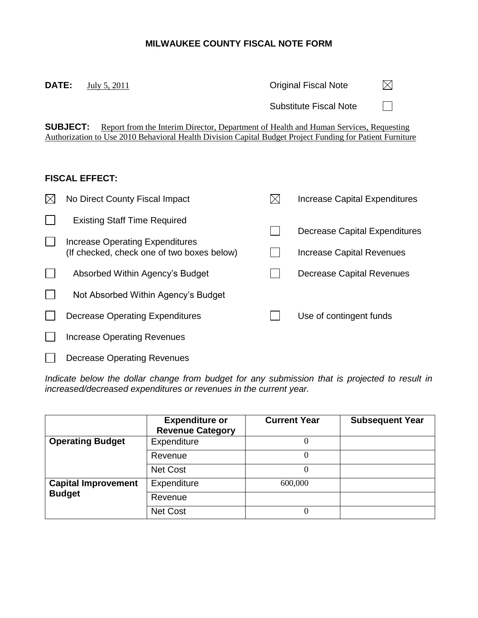## **MILWAUKEE COUNTY FISCAL NOTE FORM**

**SUBJECT:** Report from the Interim Director, Department of Health and Human Services, Requesting Authorization to Use 2010 Behavioral Health Division Capital Budget Project Funding for Patient Furniture

Substitute Fiscal Note

 $\boxtimes$ 

 $\Box$ 

**DATE:** July 5, 2011 **Original Fiscal Note** 

| <b>FISCAL EFFECT:</b>                                                         |             |                               |
|-------------------------------------------------------------------------------|-------------|-------------------------------|
| No Direct County Fiscal Impact                                                | $\boxtimes$ | Increase Capital Expenditures |
| <b>Existing Staff Time Required</b>                                           |             | Decrease Capital Expenditures |
| Increase Operating Expenditures<br>(If checked, check one of two boxes below) |             | Increase Capital Revenues     |
| Absorbed Within Agency's Budget                                               |             | Decrease Capital Revenues     |
| Not Absorbed Within Agency's Budget                                           |             |                               |
| Decrease Operating Expenditures                                               |             | Use of contingent funds       |
| <b>Increase Operating Revenues</b>                                            |             |                               |
| <b>Decrease Operating Revenues</b>                                            |             |                               |

*Indicate below the dollar change from budget for any submission that is projected to result in increased/decreased expenditures or revenues in the current year.*

|                            | <b>Expenditure or</b><br><b>Revenue Category</b> | <b>Current Year</b> | <b>Subsequent Year</b> |
|----------------------------|--------------------------------------------------|---------------------|------------------------|
| <b>Operating Budget</b>    | Expenditure                                      | 0                   |                        |
|                            | Revenue                                          | 0                   |                        |
|                            | <b>Net Cost</b>                                  | 0                   |                        |
| <b>Capital Improvement</b> | Expenditure                                      | 600,000             |                        |
| <b>Budget</b>              | Revenue                                          |                     |                        |
|                            | <b>Net Cost</b>                                  | 0                   |                        |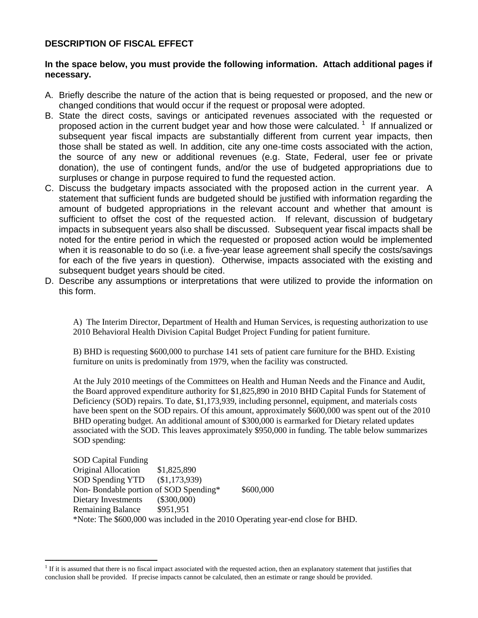## **DESCRIPTION OF FISCAL EFFECT**

 $\overline{a}$ 

## **In the space below, you must provide the following information. Attach additional pages if necessary.**

- A. Briefly describe the nature of the action that is being requested or proposed, and the new or changed conditions that would occur if the request or proposal were adopted.
- B. State the direct costs, savings or anticipated revenues associated with the requested or proposed action in the current budget year and how those were calculated.  $1$  If annualized or subsequent year fiscal impacts are substantially different from current year impacts, then those shall be stated as well. In addition, cite any one-time costs associated with the action, the source of any new or additional revenues (e.g. State, Federal, user fee or private donation), the use of contingent funds, and/or the use of budgeted appropriations due to surpluses or change in purpose required to fund the requested action.
- C. Discuss the budgetary impacts associated with the proposed action in the current year. A statement that sufficient funds are budgeted should be justified with information regarding the amount of budgeted appropriations in the relevant account and whether that amount is sufficient to offset the cost of the requested action.If relevant, discussion of budgetary impacts in subsequent years also shall be discussed. Subsequent year fiscal impacts shall be noted for the entire period in which the requested or proposed action would be implemented when it is reasonable to do so (i.e. a five-year lease agreement shall specify the costs/savings for each of the five years in question). Otherwise, impacts associated with the existing and subsequent budget years should be cited.
- D. Describe any assumptions or interpretations that were utilized to provide the information on this form.

A) The Interim Director, Department of Health and Human Services, is requesting authorization to use 2010 Behavioral Health Division Capital Budget Project Funding for patient furniture.

B) BHD is requesting \$600,000 to purchase 141 sets of patient care furniture for the BHD. Existing furniture on units is predominatly from 1979, when the facility was constructed.

At the July 2010 meetings of the Committees on Health and Human Needs and the Finance and Audit, the Board approved expenditure authority for \$1,825,890 in 2010 BHD Capital Funds for Statement of Deficiency (SOD) repairs. To date, \$1,173,939, including personnel, equipment, and materials costs have been spent on the SOD repairs. Of this amount, approximately \$600,000 was spent out of the 2010 BHD operating budget. An additional amount of \$300,000 is earmarked for Dietary related updates associated with the SOD. This leaves approximately \$950,000 in funding. The table below summarizes SOD spending:

SOD Capital Funding Original Allocation \$1,825,890 SOD Spending YTD (\$1,173,939) Non-Bondable portion of SOD Spending\* \$600,000 Dietary Investments (\$300,000) Remaining Balance \$951,951 \*Note: The \$600,000 was included in the 2010 Operating year-end close for BHD.

<sup>&</sup>lt;sup>1</sup> If it is assumed that there is no fiscal impact associated with the requested action, then an explanatory statement that justifies that conclusion shall be provided.If precise impacts cannot be calculated, then an estimate or range should be provided.